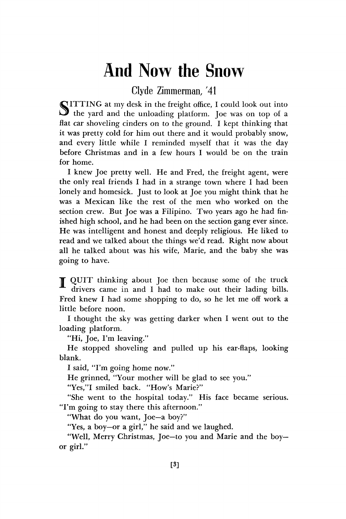## And Now the Snow

Clyde Zimmerman, '41

SITTING at my desk in the freight office, I could look out into the yard and the unloading platform. Joe was on top of a flat car shoveling cinders on to the ground. I kept thinking that it was pretty cold for him out there and it would probably snow, and every little while I reminded myself that it was the day before Christmas and in a few hours I would be on the train for home.

I knew Joe pretty well. He and Fred, the freight agent, were the only real friends I had in a strange town where I had been lonely and homesick. Just to look at Joe you might think that he was a Mexican like the rest of the men who worked on the section crew. But Joe was a Filipino. Two years ago he had finished high school, and he had been on the section gang ever since. He was intelligent and honest and deeply religious. He liked to read and we talked about the things we'd read. Right now about all he talked about was his wife, Marie, and the baby she was going to have.

**T** QUIT thinking about Joe then because some of the truck drivers came in and I had to make out their lading bills. Fred knew I had some shopping to do, so he let me off work a little before noon.

I thought the sky was getting darker when I went out to the loading platform.

"Hi, Joe, I'm leaving."

He stopped shoveling and pulled up his ear-flaps, looking blank.

I said, "I'm going home now."

He grinned, "Your mother will be glad to see you."

"Yes,"I smiled back. "How's Marie?"

"She went to the hospital today." His face became serious. "I'm going to stay there this afternoon."

"What do you want, Joe—a boy?"

"Yes, a boy—or a girl," he said and we laughed.

"Well, Merry Christmas, Joe—to you and Marie and the boy or girl."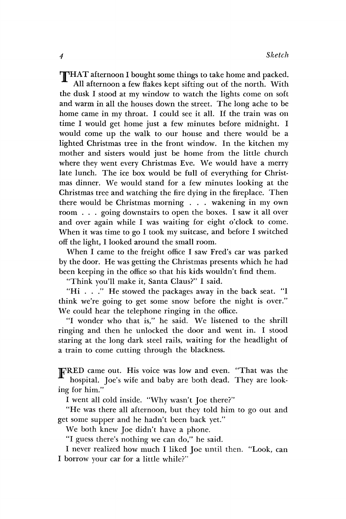THAT afternoon I bought some things to take home and packed. All afternoon a few flakes kept sifting out of the north. With the dusk I stood at my window to watch the lights come on soft and warm in all the houses down the street. The long ache to be home came in my throat. I could see it all. If the train was on time I would get home just a few minutes before midnight. I would come up the walk to our house and there would be a lighted Christmas tree in the front window. In the kitchen my mother and sisters would just be home from the little church where they went every Christmas Eve. We would have a merry late lunch. The ice box would be full of everything for Christmas dinner. We would stand for a few minutes looking at the Christmas tree and watching the fire dying in the fireplace. Then there would be Christmas morning . . . wakening in my own room . . . going downstairs to open the boxes. I saw it all over and over again while I was waiting for eight o'clock to come. When it was time to go I took my suitcase, and before I switched off the light, 1 looked around the small room.

When I came to the freight office I saw Fred's car was parked by the door. He was getting the Christmas presents which he had been keeping in the office so that his kids wouldn't find them.

"Think you'll make it, Santa Claus?" I said.

"Hi . . ." He stowed the packages away in the back seat. "1 think we're going to get some snow before the night is over." We could hear the telephone ringing in the office.

"I wonder who that is," he said. We listened to the shrill ringing and then he unlocked the door and went in. I stood staring at the long dark steel rails, waiting for the headlight of a train to come cutting through the blackness.

TFRED came out. His voice was low and even. "That was the hospital. Joe's wife and baby are both dead. They are looking for him."

I went all cold inside. "Why wasn't Joe there?"

"He was there all afternoon, but they told him to go out and get some supper and he hadn't been back yet."

We both knew Joe didn't have a phone.

"I guess there's nothing we can do," he said.

I never realized how much I liked Joe until then. "Look, can I borrow your car for a little while?"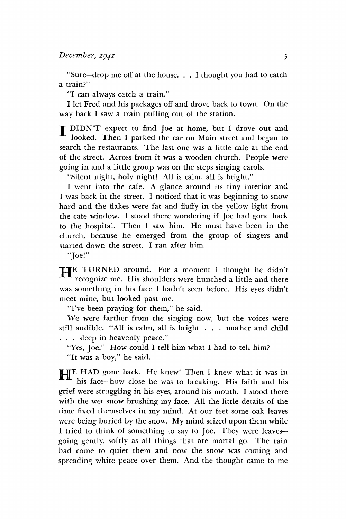"Sure—drop me off at the house. . . I thought you had to catch a train?"

"I can always catch a train."

I let Fred and his packages off and drove back to town. On the way back I saw a train pulling out of the station.

T DIDN'T expect to find Joe at home, but I drove out and looked. Then I parked the car on Main street and began to search the restaurants. The last one was a little cafe at the end of the street. Across from it was a wooden church. People were going in and a little group was on the steps singing carols.

"Silent night, holy night! All is calm, all is bright."

I went into the cafe. A glance around its tiny interior and I was back in the street. I noticed that it was beginning to snow hard and the flakes were fat and fluffy in the yellow light from the cafe window. I stood there wondering if Joe had gone back to the hospital. Then I saw him. He must have been in the church, because he emerged from the group of singers and started down the street. I ran after him.

"Joe!"

**HE** TURNED around. For a moment I thought he didn't recognize me. His shoulders were hunched a little and there recognize me. His shoulders were hunched a little and there was something in his face I hadn't seen before. His eyes didn't meet mine, but looked past me.

"I've been praying for them," he said.

We were farther from the singing now, but the voices were still audible. "All is calm, all is bright . . . mother and child . . . sleep in heavenly peace."

"Yes, Joe." How could I tell him what I had to tell him?

"It was a boy," he said.

**HE** HAD gone back. He knew! Then I knew what it was in his face—how close he was to breaking. His faith and his his face—how close he was to breaking. His faith and his grief were struggling in his eyes, around his mouth. I stood there with the wet snow brushing my face. All the little details of the time fixed themselves in my mind. At our feet some oak leaves were being buried by the snow. My mind seized upon them while I tried to think of something to say to Joe. They were leavesgoing gently, softly as all things that are mortal go. The rain had come to quiet them and now the snow was coming and spreading white peace over them. And the thought came to me